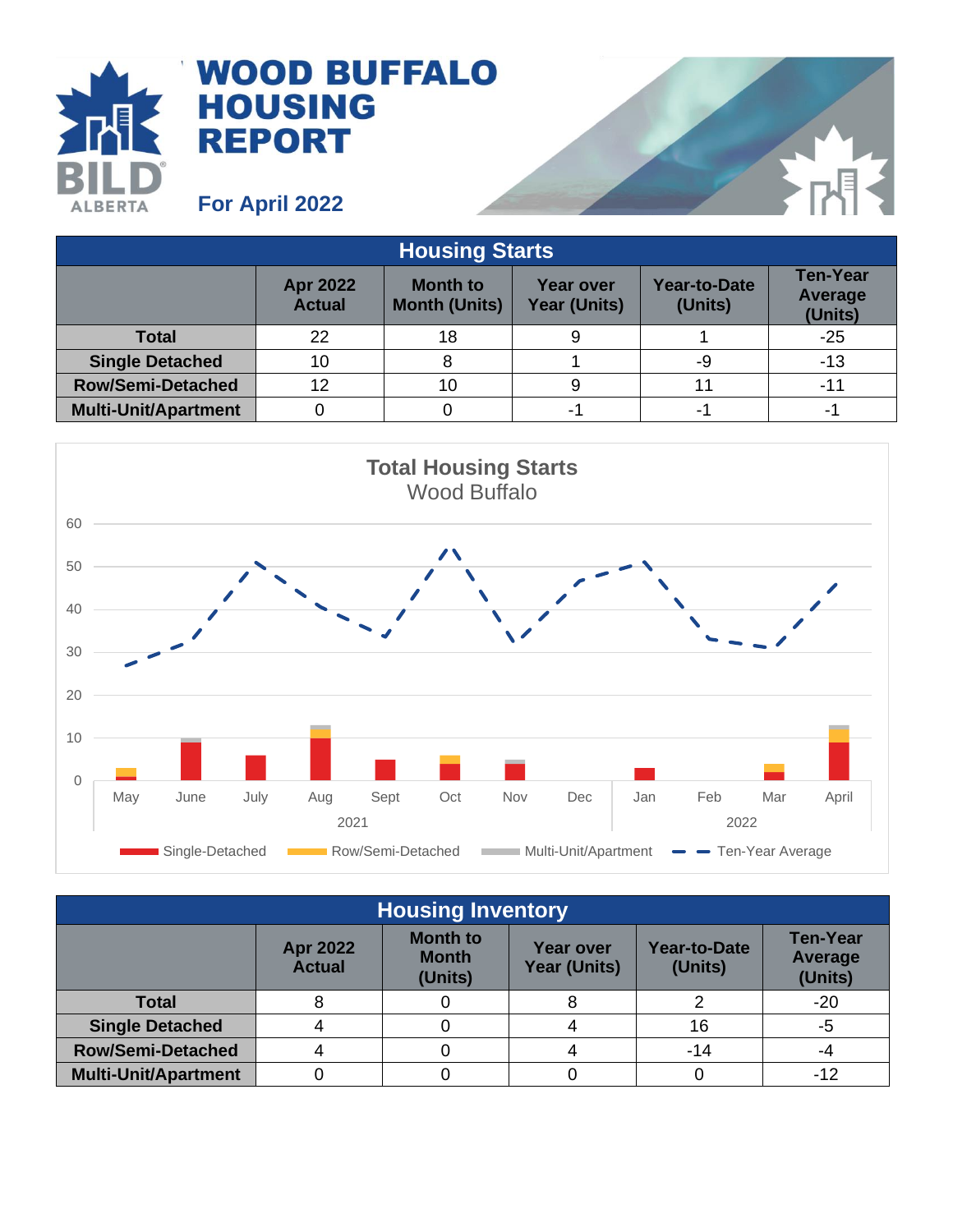

## **WOOD BUFFALO HOUSING REPORT**

**For April 2022**

| <b>Housing Starts</b>       |                                  |                                         |                           |                                |                                       |  |  |
|-----------------------------|----------------------------------|-----------------------------------------|---------------------------|--------------------------------|---------------------------------------|--|--|
|                             | <b>Apr 2022</b><br><b>Actual</b> | <b>Month to</b><br><b>Month (Units)</b> | Year over<br>Year (Units) | <b>Year-to-Date</b><br>(Units) | <b>Ten-Year</b><br>Average<br>(Units) |  |  |
| <b>Total</b>                | 22                               | 18                                      |                           |                                | $-25$                                 |  |  |
| <b>Single Detached</b>      | 10                               | 8                                       |                           | -9                             | $-13$                                 |  |  |
| <b>Row/Semi-Detached</b>    | 12                               | 10                                      | 9                         |                                | -11                                   |  |  |
| <b>Multi-Unit/Apartment</b> |                                  |                                         | -1                        | -                              |                                       |  |  |



| <b>Housing Inventory</b>    |                                  |                                            |                                         |                                |                                              |  |  |
|-----------------------------|----------------------------------|--------------------------------------------|-----------------------------------------|--------------------------------|----------------------------------------------|--|--|
|                             | <b>Apr 2022</b><br><b>Actual</b> | <b>Month to</b><br><b>Month</b><br>(Units) | <b>Year over</b><br><b>Year (Units)</b> | <b>Year-to-Date</b><br>(Units) | <b>Ten-Year</b><br><b>Average</b><br>(Units) |  |  |
| <b>Total</b>                |                                  |                                            |                                         |                                | $-20$                                        |  |  |
| <b>Single Detached</b>      |                                  |                                            |                                         | 16                             | -5                                           |  |  |
| <b>Row/Semi-Detached</b>    |                                  |                                            |                                         | $-14$                          | -4                                           |  |  |
| <b>Multi-Unit/Apartment</b> |                                  |                                            |                                         |                                | -12                                          |  |  |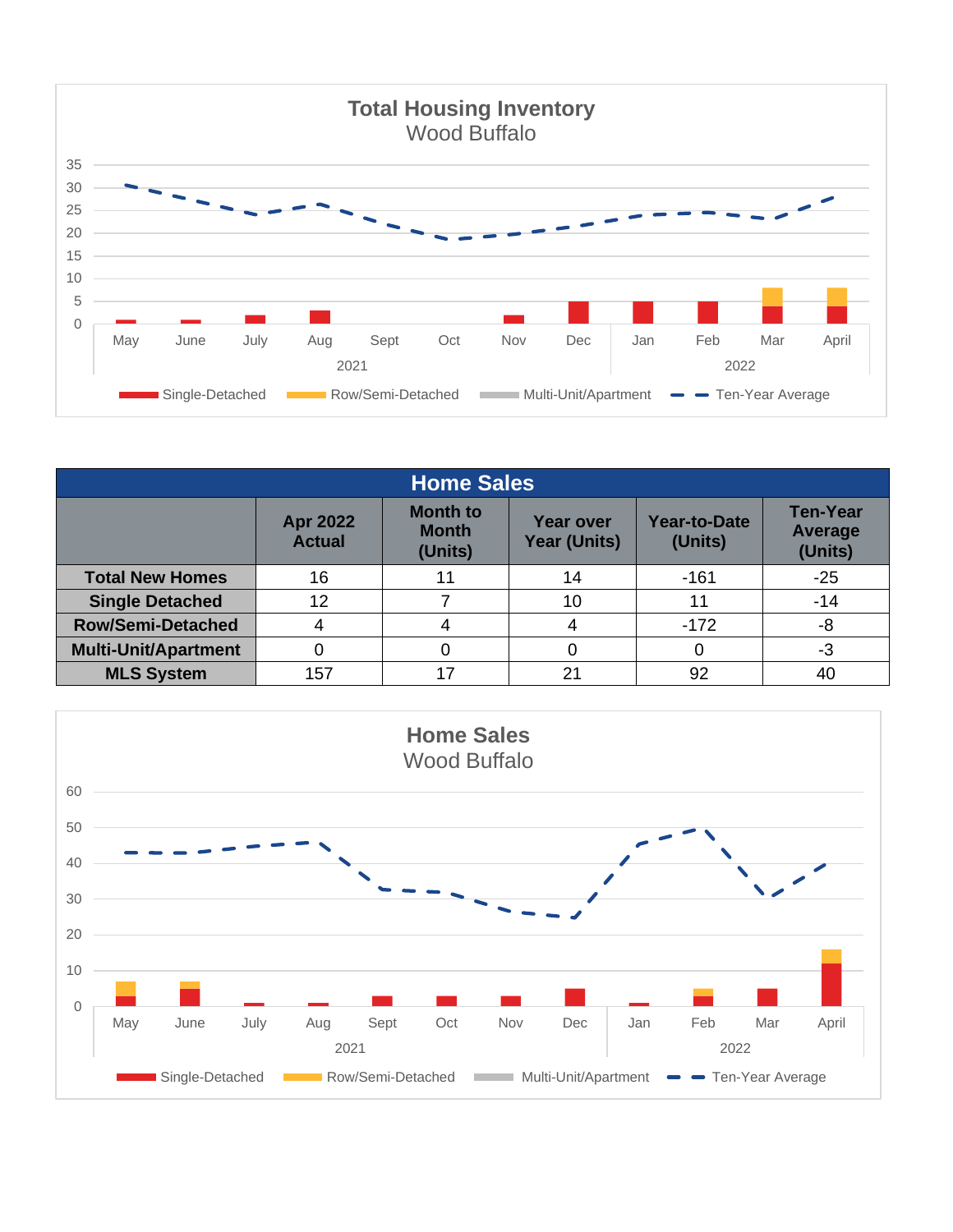

| <b>Home Sales</b>           |                                  |                                            |                                         |                                |                                              |  |  |
|-----------------------------|----------------------------------|--------------------------------------------|-----------------------------------------|--------------------------------|----------------------------------------------|--|--|
|                             | <b>Apr 2022</b><br><b>Actual</b> | <b>Month to</b><br><b>Month</b><br>(Units) | <b>Year over</b><br><b>Year (Units)</b> | <b>Year-to-Date</b><br>(Units) | <b>Ten-Year</b><br><b>Average</b><br>(Units) |  |  |
| <b>Total New Homes</b>      | 16                               |                                            | 14                                      | $-161$                         | $-25$                                        |  |  |
| <b>Single Detached</b>      | 12                               |                                            | 10                                      |                                | $-14$                                        |  |  |
| <b>Row/Semi-Detached</b>    |                                  |                                            | 4                                       | $-172$                         | -8                                           |  |  |
| <b>Multi-Unit/Apartment</b> |                                  |                                            |                                         | 0                              | -3                                           |  |  |
| <b>MLS System</b>           | 157                              |                                            | 21                                      | 92                             | 40                                           |  |  |